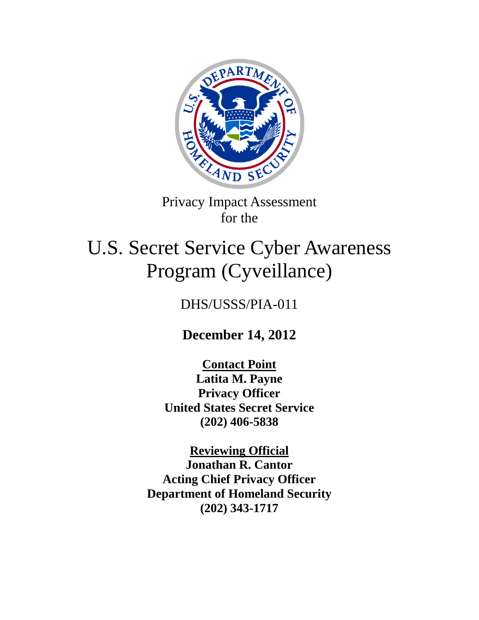

Privacy Impact Assessment for the

# U.S. Secret Service Cyber Awareness Program (Cyveillance)

DHS/USSS/PIA-011

**December 14, 2012**

**Contact Point Latita M. Payne Privacy Officer United States Secret Service (202) 406-5838**

**Reviewing Official Jonathan R. Cantor Acting Chief Privacy Officer Department of Homeland Security (202) 343-1717**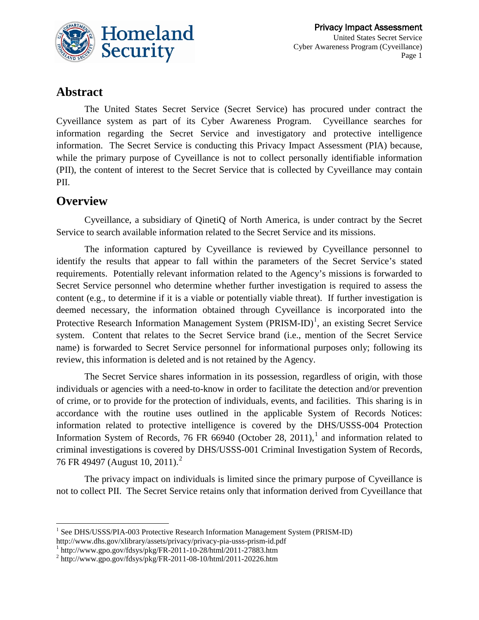

# **Abstract**

The United States Secret Service (Secret Service) has procured under contract the Cyveillance system as part of its Cyber Awareness Program. Cyveillance searches for information regarding the Secret Service and investigatory and protective intelligence information. The Secret Service is conducting this Privacy Impact Assessment (PIA) because, while the primary purpose of Cyveillance is not to collect personally identifiable information (PII), the content of interest to the Secret Service that is collected by Cyveillance may contain PII.

## **Overview**

 $\overline{a}$ 

Cyveillance, a subsidiary of QinetiQ of North America, is under contract by the Secret Service to search available information related to the Secret Service and its missions.

The information captured by Cyveillance is reviewed by Cyveillance personnel to identify the results that appear to fall within the parameters of the Secret Service's stated requirements. Potentially relevant information related to the Agency's missions is forwarded to Secret Service personnel who determine whether further investigation is required to assess the content (e.g., to determine if it is a viable or potentially viable threat). If further investigation is deemed necessary, the information obtained through Cyveillance is incorporated into the Protective Research Information Management System  $(PRISM-ID)^1$  $(PRISM-ID)^1$ , an existing Secret Service system. Content that relates to the Secret Service brand (i.e., mention of the Secret Service name) is forwarded to Secret Service personnel for informational purposes only; following its review, this information is deleted and is not retained by the Agency.

The Secret Service shares information in its possession, regardless of origin, with those individuals or agencies with a need-to-know in order to facilitate the detection and/or prevention of crime, or to provide for the protection of individuals, events, and facilities. This sharing is in accordance with the routine uses outlined in the applicable System of Records Notices: information related to protective intelligence is covered by the DHS/USSS-004 Protection Information System of Records, 76 FR 66940 (October 28, 20[1](#page-1-1)1),<sup>1</sup> and information related to criminal investigations is covered by DHS/USSS-001 Criminal Investigation System of Records, 76 FR 49497 (August 10, [2](#page-1-2)011).<sup>2</sup>

The privacy impact on individuals is limited since the primary purpose of Cyveillance is not to collect PII. The Secret Service retains only that information derived from Cyveillance that

<span id="page-1-1"></span> $\frac{1}{2}$ http://www.gpo.gov/fdsys/pkg/FR-2011-10-28/html/2011-27883.htm<br> $\frac{1}{2}$ http://www.gpo.gov/fdsys/pkg/FR-2011-08-10/html/2011-20226.htm

<span id="page-1-0"></span><sup>&</sup>lt;sup>1</sup> See DHS/USSS/PIA-003 Protective Research Information Management System (PRISM-ID) http://www.dhs.gov/xlibrary/assets/privacy/privacy-pia-usss-prism-id.pdf

<span id="page-1-2"></span>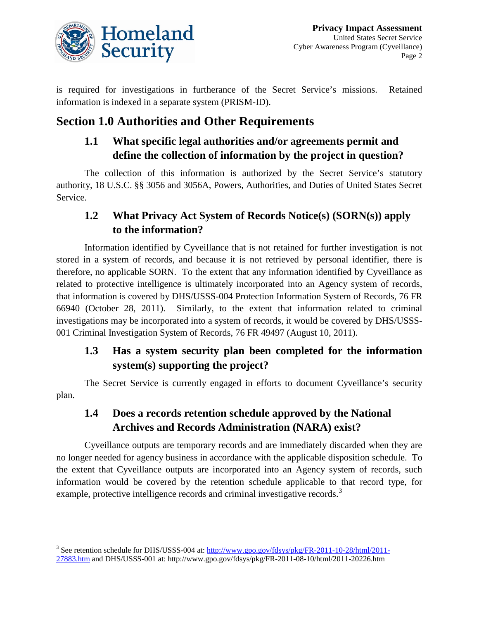

is required for investigations in furtherance of the Secret Service's missions. Retained information is indexed in a separate system (PRISM-ID).

# **Section 1.0 Authorities and Other Requirements**

# **1.1 What specific legal authorities and/or agreements permit and define the collection of information by the project in question?**

The collection of this information is authorized by the Secret Service's statutory authority, 18 U.S.C. §§ 3056 and 3056A, Powers, Authorities, and Duties of United States Secret Service.

# **1.2 What Privacy Act System of Records Notice(s) (SORN(s)) apply to the information?**

Information identified by Cyveillance that is not retained for further investigation is not stored in a system of records, and because it is not retrieved by personal identifier, there is therefore, no applicable SORN. To the extent that any information identified by Cyveillance as related to protective intelligence is ultimately incorporated into an Agency system of records, that information is covered by DHS/USSS-004 Protection Information System of Records, 76 FR 66940 (October 28, 2011). Similarly, to the extent that information related to criminal investigations may be incorporated into a system of records, it would be covered by DHS/USSS-001 Criminal Investigation System of Records, 76 FR 49497 (August 10, 2011).

# **1.3 Has a system security plan been completed for the information system(s) supporting the project?**

The Secret Service is currently engaged in efforts to document Cyveillance's security plan.

# **1.4 Does a records retention schedule approved by the National Archives and Records Administration (NARA) exist?**

Cyveillance outputs are temporary records and are immediately discarded when they are no longer needed for agency business in accordance with the applicable disposition schedule. To the extent that Cyveillance outputs are incorporated into an Agency system of records, such information would be covered by the retention schedule applicable to that record type, for example, protective intelligence records and criminal investigative records.<sup>[3](#page-2-0)</sup>

<span id="page-2-0"></span><sup>&</sup>lt;sup>3</sup> See retention schedule for DHS/USSS-004 at: [http://www.gpo.gov/fdsys/pkg/FR-2011-10-28/html/2011-](http://www.gpo.gov/fdsys/pkg/FR-2011-10-28/html/2011-27883.htm) [27883.htm](http://www.gpo.gov/fdsys/pkg/FR-2011-10-28/html/2011-27883.htm) and DHS/USSS-001 at: http://www.gpo.gov/fdsys/pkg/FR-2011-08-10/html/2011-20226.htm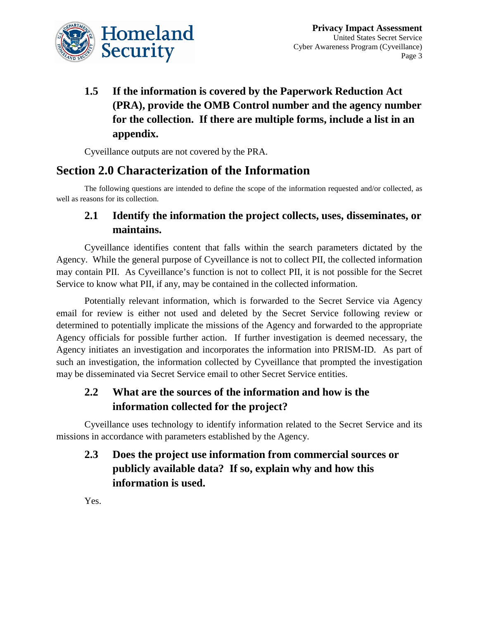

# **1.5 If the information is covered by the Paperwork Reduction Act (PRA), provide the OMB Control number and the agency number for the collection. If there are multiple forms, include a list in an appendix.**

Cyveillance outputs are not covered by the PRA.

# **Section 2.0 Characterization of the Information**

The following questions are intended to define the scope of the information requested and/or collected, as well as reasons for its collection.

## **2.1 Identify the information the project collects, uses, disseminates, or maintains.**

Cyveillance identifies content that falls within the search parameters dictated by the Agency. While the general purpose of Cyveillance is not to collect PII, the collected information may contain PII. As Cyveillance's function is not to collect PII, it is not possible for the Secret Service to know what PII, if any, may be contained in the collected information.

Potentially relevant information, which is forwarded to the Secret Service via Agency email for review is either not used and deleted by the Secret Service following review or determined to potentially implicate the missions of the Agency and forwarded to the appropriate Agency officials for possible further action. If further investigation is deemed necessary, the Agency initiates an investigation and incorporates the information into PRISM-ID. As part of such an investigation, the information collected by Cyveillance that prompted the investigation may be disseminated via Secret Service email to other Secret Service entities.

# **2.2 What are the sources of the information and how is the information collected for the project?**

Cyveillance uses technology to identify information related to the Secret Service and its missions in accordance with parameters established by the Agency.

# **2.3 Does the project use information from commercial sources or publicly available data? If so, explain why and how this information is used.**

Yes.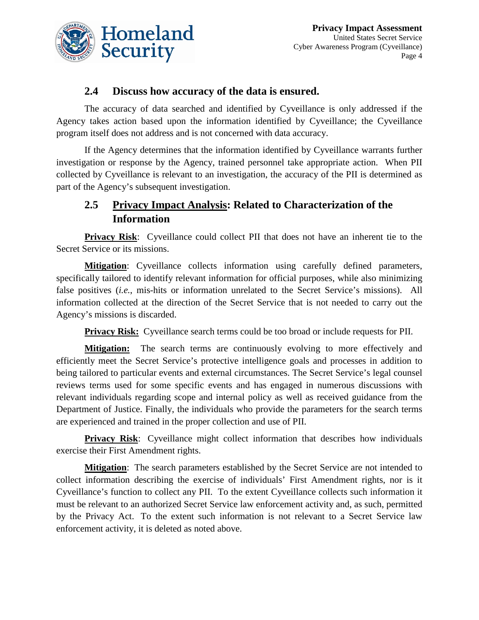

#### **2.4 Discuss how accuracy of the data is ensured.**

The accuracy of data searched and identified by Cyveillance is only addressed if the Agency takes action based upon the information identified by Cyveillance; the Cyveillance program itself does not address and is not concerned with data accuracy.

If the Agency determines that the information identified by Cyveillance warrants further investigation or response by the Agency, trained personnel take appropriate action. When PII collected by Cyveillance is relevant to an investigation, the accuracy of the PII is determined as part of the Agency's subsequent investigation.

## **2.5 Privacy Impact Analysis: Related to Characterization of the Information**

**Privacy Risk**: Cyveillance could collect PII that does not have an inherent tie to the Secret Service or its missions.

**Mitigation:** Cyveillance collects information using carefully defined parameters, specifically tailored to identify relevant information for official purposes, while also minimizing false positives (*i.e.*, mis-hits or information unrelated to the Secret Service's missions). All information collected at the direction of the Secret Service that is not needed to carry out the Agency's missions is discarded.

**Privacy Risk:** Cyveillance search terms could be too broad or include requests for PII.

**Mitigation:** The search terms are continuously evolving to more effectively and efficiently meet the Secret Service's protective intelligence goals and processes in addition to being tailored to particular events and external circumstances. The Secret Service's legal counsel reviews terms used for some specific events and has engaged in numerous discussions with relevant individuals regarding scope and internal policy as well as received guidance from the Department of Justice. Finally, the individuals who provide the parameters for the search terms are experienced and trained in the proper collection and use of PII.

**Privacy Risk:** Cyveillance might collect information that describes how individuals exercise their First Amendment rights.

**Mitigation**: The search parameters established by the Secret Service are not intended to collect information describing the exercise of individuals' First Amendment rights, nor is it Cyveillance's function to collect any PII. To the extent Cyveillance collects such information it must be relevant to an authorized Secret Service law enforcement activity and, as such, permitted by the Privacy Act. To the extent such information is not relevant to a Secret Service law enforcement activity, it is deleted as noted above.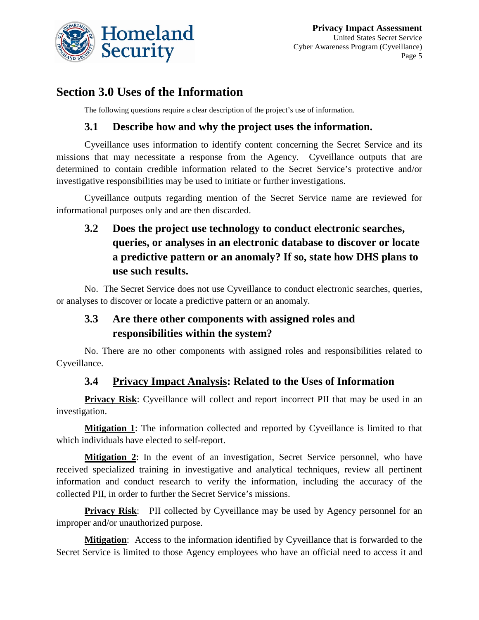

# **Section 3.0 Uses of the Information**

The following questions require a clear description of the project's use of information.

#### **3.1 Describe how and why the project uses the information.**

Cyveillance uses information to identify content concerning the Secret Service and its missions that may necessitate a response from the Agency. Cyveillance outputs that are determined to contain credible information related to the Secret Service's protective and/or investigative responsibilities may be used to initiate or further investigations.

Cyveillance outputs regarding mention of the Secret Service name are reviewed for informational purposes only and are then discarded.

**3.2 Does the project use technology to conduct electronic searches, queries, or analyses in an electronic database to discover or locate a predictive pattern or an anomaly? If so, state how DHS plans to use such results.**

No. The Secret Service does not use Cyveillance to conduct electronic searches, queries, or analyses to discover or locate a predictive pattern or an anomaly.

## **3.3 Are there other components with assigned roles and responsibilities within the system?**

No. There are no other components with assigned roles and responsibilities related to Cyveillance.

#### **3.4 Privacy Impact Analysis: Related to the Uses of Information**

**Privacy Risk**: Cyveillance will collect and report incorrect PII that may be used in an investigation.

**Mitigation 1**: The information collected and reported by Cyveillance is limited to that which individuals have elected to self-report.

**Mitigation 2**: In the event of an investigation, Secret Service personnel, who have received specialized training in investigative and analytical techniques, review all pertinent information and conduct research to verify the information, including the accuracy of the collected PII, in order to further the Secret Service's missions.

**Privacy Risk:** PII collected by Cyveillance may be used by Agency personnel for an improper and/or unauthorized purpose.

**Mitigation**: Access to the information identified by Cyveillance that is forwarded to the Secret Service is limited to those Agency employees who have an official need to access it and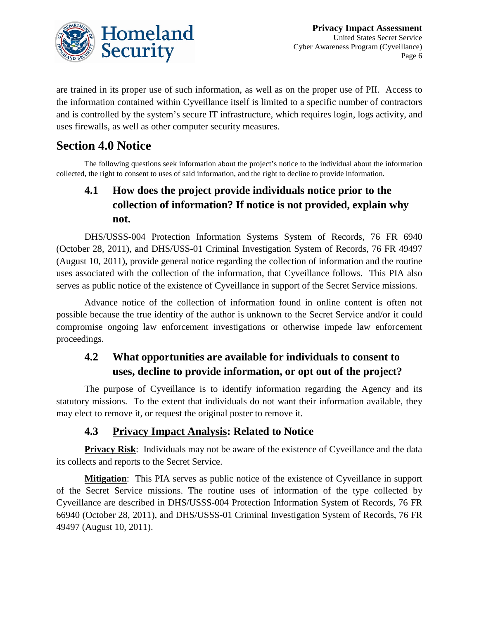

are trained in its proper use of such information, as well as on the proper use of PII. Access to the information contained within Cyveillance itself is limited to a specific number of contractors and is controlled by the system's secure IT infrastructure, which requires login, logs activity, and uses firewalls, as well as other computer security measures.

# **Section 4.0 Notice**

The following questions seek information about the project's notice to the individual about the information collected, the right to consent to uses of said information, and the right to decline to provide information.

# **4.1 How does the project provide individuals notice prior to the collection of information? If notice is not provided, explain why not.**

DHS/USSS-004 Protection Information Systems System of Records, 76 FR 6940 (October 28, 2011), and DHS/USS-01 Criminal Investigation System of Records, 76 FR 49497 (August 10, 2011), provide general notice regarding the collection of information and the routine uses associated with the collection of the information, that Cyveillance follows. This PIA also serves as public notice of the existence of Cyveillance in support of the Secret Service missions.

Advance notice of the collection of information found in online content is often not possible because the true identity of the author is unknown to the Secret Service and/or it could compromise ongoing law enforcement investigations or otherwise impede law enforcement proceedings.

# **4.2 What opportunities are available for individuals to consent to uses, decline to provide information, or opt out of the project?**

The purpose of Cyveillance is to identify information regarding the Agency and its statutory missions. To the extent that individuals do not want their information available, they may elect to remove it, or request the original poster to remove it.

#### **4.3 Privacy Impact Analysis: Related to Notice**

**Privacy Risk**: Individuals may not be aware of the existence of Cyveillance and the data its collects and reports to the Secret Service.

**Mitigation:** This PIA serves as public notice of the existence of Cyveillance in support of the Secret Service missions. The routine uses of information of the type collected by Cyveillance are described in DHS/USSS-004 Protection Information System of Records, 76 FR 66940 (October 28, 2011), and DHS/USSS-01 Criminal Investigation System of Records, 76 FR 49497 (August 10, 2011).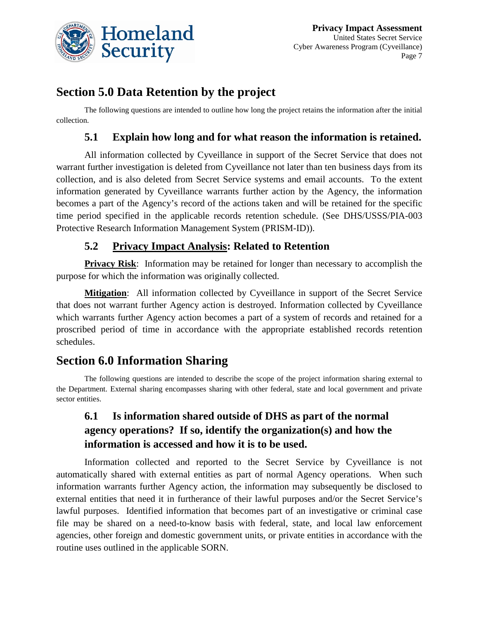

# **Section 5.0 Data Retention by the project**

The following questions are intended to outline how long the project retains the information after the initial collection.

#### **5.1 Explain how long and for what reason the information is retained.**

All information collected by Cyveillance in support of the Secret Service that does not warrant further investigation is deleted from Cyveillance not later than ten business days from its collection, and is also deleted from Secret Service systems and email accounts. To the extent information generated by Cyveillance warrants further action by the Agency, the information becomes a part of the Agency's record of the actions taken and will be retained for the specific time period specified in the applicable records retention schedule. (See DHS/USSS/PIA-003 Protective Research Information Management System (PRISM-ID)).

#### **5.2 Privacy Impact Analysis: Related to Retention**

**Privacy Risk:** Information may be retained for longer than necessary to accomplish the purpose for which the information was originally collected.

**Mitigation:** All information collected by Cyveillance in support of the Secret Service that does not warrant further Agency action is destroyed. Information collected by Cyveillance which warrants further Agency action becomes a part of a system of records and retained for a proscribed period of time in accordance with the appropriate established records retention schedules.

# **Section 6.0 Information Sharing**

The following questions are intended to describe the scope of the project information sharing external to the Department. External sharing encompasses sharing with other federal, state and local government and private sector entities.

# **6.1 Is information shared outside of DHS as part of the normal agency operations? If so, identify the organization(s) and how the information is accessed and how it is to be used.**

Information collected and reported to the Secret Service by Cyveillance is not automatically shared with external entities as part of normal Agency operations. When such information warrants further Agency action, the information may subsequently be disclosed to external entities that need it in furtherance of their lawful purposes and/or the Secret Service's lawful purposes. Identified information that becomes part of an investigative or criminal case file may be shared on a need-to-know basis with federal, state, and local law enforcement agencies, other foreign and domestic government units, or private entities in accordance with the routine uses outlined in the applicable SORN.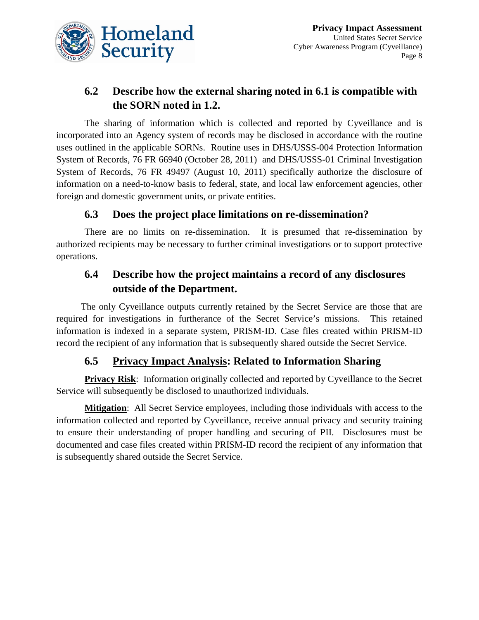

# **6.2 Describe how the external sharing noted in 6.1 is compatible with the SORN noted in 1.2.**

The sharing of information which is collected and reported by Cyveillance and is incorporated into an Agency system of records may be disclosed in accordance with the routine uses outlined in the applicable SORNs. Routine uses in DHS/USSS-004 Protection Information System of Records, 76 FR 66940 (October 28, 2011) and DHS/USSS-01 Criminal Investigation System of Records, 76 FR 49497 (August 10, 2011) specifically authorize the disclosure of information on a need-to-know basis to federal, state, and local law enforcement agencies, other foreign and domestic government units, or private entities.

#### **6.3 Does the project place limitations on re-dissemination?**

There are no limits on re-dissemination. It is presumed that re-dissemination by authorized recipients may be necessary to further criminal investigations or to support protective operations.

## **6.4 Describe how the project maintains a record of any disclosures outside of the Department.**

The only Cyveillance outputs currently retained by the Secret Service are those that are required for investigations in furtherance of the Secret Service's missions. This retained information is indexed in a separate system, PRISM-ID. Case files created within PRISM-ID record the recipient of any information that is subsequently shared outside the Secret Service.

#### **6.5 Privacy Impact Analysis: Related to Information Sharing**

**Privacy Risk:** Information originally collected and reported by Cyveillance to the Secret Service will subsequently be disclosed to unauthorized individuals.

**Mitigation:** All Secret Service employees, including those individuals with access to the information collected and reported by Cyveillance, receive annual privacy and security training to ensure their understanding of proper handling and securing of PII. Disclosures must be documented and case files created within PRISM-ID record the recipient of any information that is subsequently shared outside the Secret Service.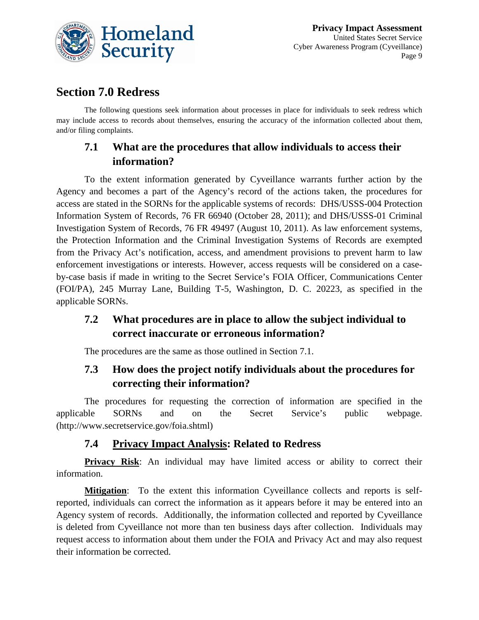

# **Section 7.0 Redress**

The following questions seek information about processes in place for individuals to seek redress which may include access to records about themselves, ensuring the accuracy of the information collected about them, and/or filing complaints.

## **7.1 What are the procedures that allow individuals to access their information?**

To the extent information generated by Cyveillance warrants further action by the Agency and becomes a part of the Agency's record of the actions taken, the procedures for access are stated in the SORNs for the applicable systems of records: DHS/USSS-004 Protection Information System of Records, 76 FR 66940 (October 28, 2011); and DHS/USSS-01 Criminal Investigation System of Records, 76 FR 49497 (August 10, 2011). As law enforcement systems, the Protection Information and the Criminal Investigation Systems of Records are exempted from the Privacy Act's notification, access, and amendment provisions to prevent harm to law enforcement investigations or interests. However, access requests will be considered on a caseby-case basis if made in writing to the Secret Service's FOIA Officer, Communications Center (FOI/PA), 245 Murray Lane, Building T-5, Washington, D. C. 20223, as specified in the applicable SORNs.

## **7.2 What procedures are in place to allow the subject individual to correct inaccurate or erroneous information?**

The procedures are the same as those outlined in Section 7.1.

# **7.3 How does the project notify individuals about the procedures for correcting their information?**

The procedures for requesting the correction of information are specified in the applicable SORNs and on the Secret Service's public webpage. (http://www.secretservice.gov/foia.shtml)

#### **7.4 Privacy Impact Analysis: Related to Redress**

**Privacy Risk**: An individual may have limited access or ability to correct their information.

**Mitigation**: To the extent this information Cyveillance collects and reports is selfreported, individuals can correct the information as it appears before it may be entered into an Agency system of records. Additionally, the information collected and reported by Cyveillance is deleted from Cyveillance not more than ten business days after collection. Individuals may request access to information about them under the FOIA and Privacy Act and may also request their information be corrected.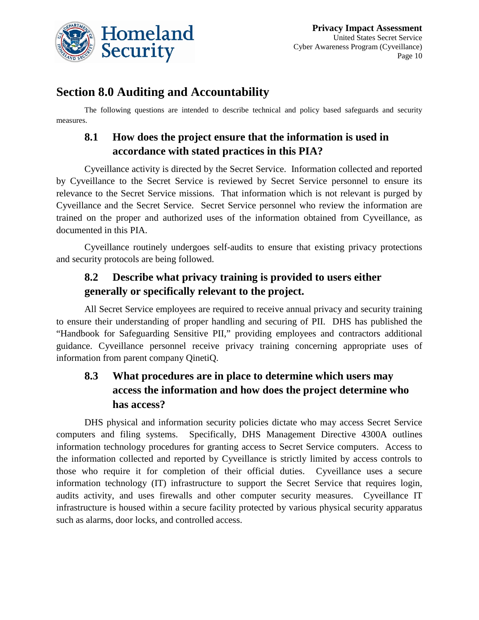

# **Section 8.0 Auditing and Accountability**

The following questions are intended to describe technical and policy based safeguards and security measures.

# **8.1 How does the project ensure that the information is used in accordance with stated practices in this PIA?**

Cyveillance activity is directed by the Secret Service. Information collected and reported by Cyveillance to the Secret Service is reviewed by Secret Service personnel to ensure its relevance to the Secret Service missions. That information which is not relevant is purged by Cyveillance and the Secret Service. Secret Service personnel who review the information are trained on the proper and authorized uses of the information obtained from Cyveillance, as documented in this PIA.

Cyveillance routinely undergoes self-audits to ensure that existing privacy protections and security protocols are being followed.

## **8.2 Describe what privacy training is provided to users either generally or specifically relevant to the project.**

All Secret Service employees are required to receive annual privacy and security training to ensure their understanding of proper handling and securing of PII. DHS has published the "Handbook for Safeguarding Sensitive PII," providing employees and contractors additional guidance. Cyveillance personnel receive privacy training concerning appropriate uses of information from parent company QinetiQ.

# **8.3 What procedures are in place to determine which users may access the information and how does the project determine who has access?**

DHS physical and information security policies dictate who may access Secret Service computers and filing systems. Specifically, DHS Management Directive 4300A outlines information technology procedures for granting access to Secret Service computers. Access to the information collected and reported by Cyveillance is strictly limited by access controls to those who require it for completion of their official duties. Cyveillance uses a secure information technology (IT) infrastructure to support the Secret Service that requires login, audits activity, and uses firewalls and other computer security measures. Cyveillance IT infrastructure is housed within a secure facility protected by various physical security apparatus such as alarms, door locks, and controlled access.